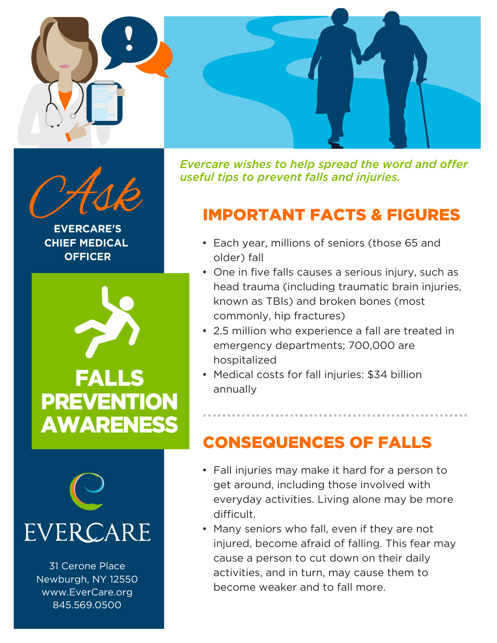



**EVERCARE'S CHIEF MEDICAL OFFICER**



**PREVENTION** AWARENESS



31 Cerone Place Newburgh, NY 12550 www.EverCare.org 845.569.0500

*Evercare wishes to help spread the word and offer useful tips to prevent falls and injuries.*<br> **IMPORTANT FACTS & FIGURES** 

## IMPORTANT FACTS & FIGURES

- Each year, millions of seniors (those 65 and older) fall
- One in five falls causes a serious injury, such as head trauma (including traumatic brain injuries, known as TBIs) and broken bones (most commonly, hip fractures)
- 2.5 million who experience a fall are treated in emergency departments; 700,000 are hospitalized

• Medical costs for fall injuries: \$34 billion annually

## CONSEQUENCES OF FALLS

- Fall injuries may make it hard for a person to get around, including those involved with everyday activities. Living alone may be more difficult.
- Many seniors who fall, even if they are not injured, become afraid of falling. This fear may cause a person to cut down on their daily activities, and in turn, may cause them to become weaker and to fall more.